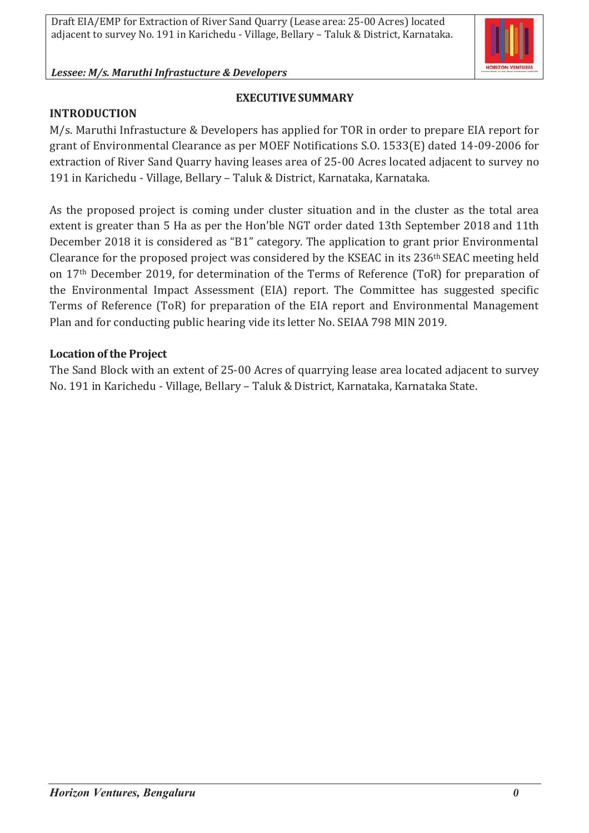

# **EXECUTIVE SUMMARY**

#### **INTRODUCTION**

M/s. Maruthi Infrastucture & Developers has applied for TOR in order to prepare EIA report for grant of Environmental Clearance as per MOEF Notifications S.O. 1533(E) dated 14-09-2006 for extraction of River Sand Quarry having leases area of 25-00 Acres located adjacent to survey no 191 in Karichedu - Village, Bellary – Taluk & District, Karnataka, Karnataka.

As the proposed project is coming under cluster situation and in the cluster as the total area extent is greater than 5 Ha as per the Hon'ble NGT order dated 13th September 2018 and 11th December 2018 it is considered as "B1" category. The application to grant prior Environmental Clearance for the proposed project was considered by the KSEAC in its 236th SEAC meeting held on 17th December 2019, for determination of the Terms of Reference (ToR) for preparation of the Environmental Impact Assessment (EIA) report. The Committee has suggested specific Terms of Reference (ToR) for preparation of the EIA report and Environmental Management Plan and for conducting public hearing vide its letter No. SEIAA 798 MIN 2019.

#### **Location of the Project**

The Sand Block with an extent of 25-00 Acres of quarrying lease area located adjacent to survey No. 191 in Karichedu - Village, Bellary – Taluk & District, Karnataka, Karnataka State.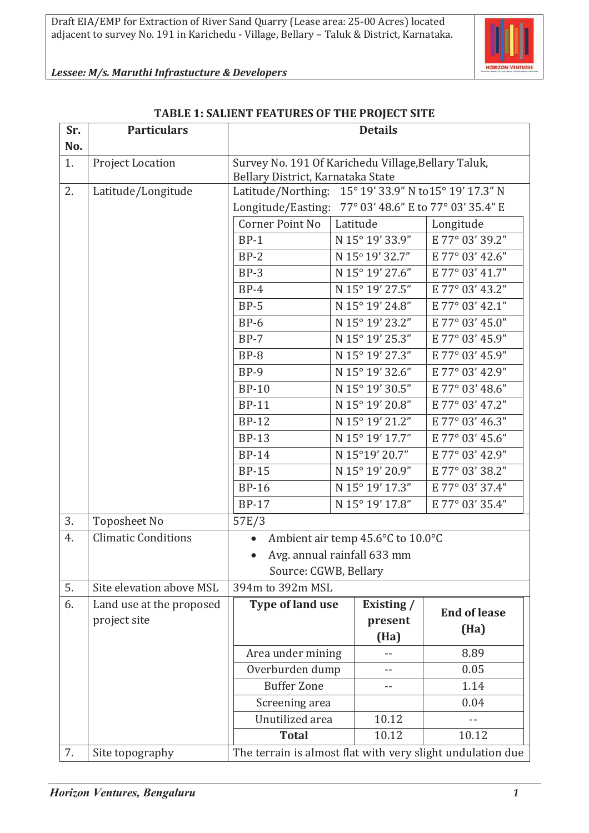

| Sr.<br>No. | <b>Particulars</b>         | <b>Details</b>                                                                            |                 |                                                            |
|------------|----------------------------|-------------------------------------------------------------------------------------------|-----------------|------------------------------------------------------------|
| 1.         | <b>Project Location</b>    | Survey No. 191 Of Karichedu Village, Bellary Taluk,<br>Bellary District, Karnataka State  |                 |                                                            |
| 2.         | Latitude/Longitude         | Latitude/Northing: 15° 19' 33.9" N to 15° 19' 17.3" N                                     |                 |                                                            |
|            |                            | 77° 03' 48.6" E to 77° 03' 35.4" E<br>Longitude/Easting:                                  |                 |                                                            |
|            |                            | Corner Point No                                                                           | Latitude        | Longitude                                                  |
|            |                            | $BP-1$                                                                                    | N 15° 19' 33.9" | E 77° 03' 39.2"                                            |
|            |                            | $BP-2$                                                                                    | N 15°19' 32.7"  | E 77° 03' 42.6"                                            |
|            |                            | $BP-3$                                                                                    | N 15° 19' 27.6" | E 77° 03' 41.7"                                            |
|            |                            | $BP-4$                                                                                    | N 15° 19' 27.5" | E 77° 03' 43.2"                                            |
|            |                            | $BP-5$                                                                                    | N 15° 19' 24.8" | E 77° 03' 42.1"                                            |
|            |                            | $BP-6$                                                                                    | N 15° 19' 23.2" | E 77° 03' 45.0"                                            |
|            |                            | $BP-7$                                                                                    | N 15° 19' 25.3" | E 77° 03' 45.9"                                            |
|            |                            | $BP-8$                                                                                    | N 15° 19' 27.3" | E 77° 03' 45.9"                                            |
|            |                            | $BP-9$                                                                                    | N 15° 19' 32.6" | E 77° 03' 42.9"                                            |
|            |                            | <b>BP-10</b>                                                                              | N 15° 19' 30.5" | E 77° 03' 48.6"                                            |
|            |                            | <b>BP-11</b>                                                                              | N 15° 19' 20.8" | E 77° 03' 47.2"                                            |
|            |                            | <b>BP-12</b>                                                                              | N 15° 19' 21.2" | E 77° 03' 46.3"                                            |
|            |                            | <b>BP-13</b>                                                                              | N 15° 19' 17.7" | E 77° 03' 45.6"                                            |
|            |                            | <b>BP-14</b>                                                                              | N 15°19' 20.7"  | E 77° 03' 42.9"                                            |
|            |                            | <b>BP-15</b>                                                                              | N 15° 19' 20.9" | E 77° 03' 38.2"                                            |
|            |                            | <b>BP-16</b>                                                                              | N 15° 19' 17.3" | E 77° 03' 37.4"                                            |
|            |                            | <b>BP-17</b>                                                                              | N 15° 19' 17.8" | E 77° 03' 35.4"                                            |
| 3.         | <b>Toposheet No</b>        | 57E/3                                                                                     |                 |                                                            |
| 4.         | <b>Climatic Conditions</b> | Ambient air temp 45.6°C to 10.0°C<br>Avg. annual rainfall 633 mm<br>Source: CGWB, Bellary |                 |                                                            |
|            |                            |                                                                                           |                 |                                                            |
|            |                            |                                                                                           |                 |                                                            |
| 5.         | Site elevation above MSL   | 394m to 392m MSL                                                                          |                 |                                                            |
| 6.         | Land use at the proposed   | <b>Type of land use</b>                                                                   | Existing /      | <b>End of lease</b>                                        |
|            | project site               |                                                                                           | present         | (Ha)                                                       |
|            |                            |                                                                                           | (Ha)            |                                                            |
|            |                            | Area under mining                                                                         |                 | 8.89                                                       |
|            |                            | Overburden dump                                                                           | $ -$            | 0.05                                                       |
|            |                            | <b>Buffer Zone</b>                                                                        | $- -$           | 1.14                                                       |
|            |                            | Screening area                                                                            |                 | 0.04                                                       |
|            |                            | Unutilized area                                                                           | 10.12           |                                                            |
|            |                            | <b>Total</b>                                                                              | 10.12           | 10.12                                                      |
| 7.         | Site topography            |                                                                                           |                 | The terrain is almost flat with very slight undulation due |

#### **TABLE 1: SALIENT FEATURES OF THE PROJECT SITE**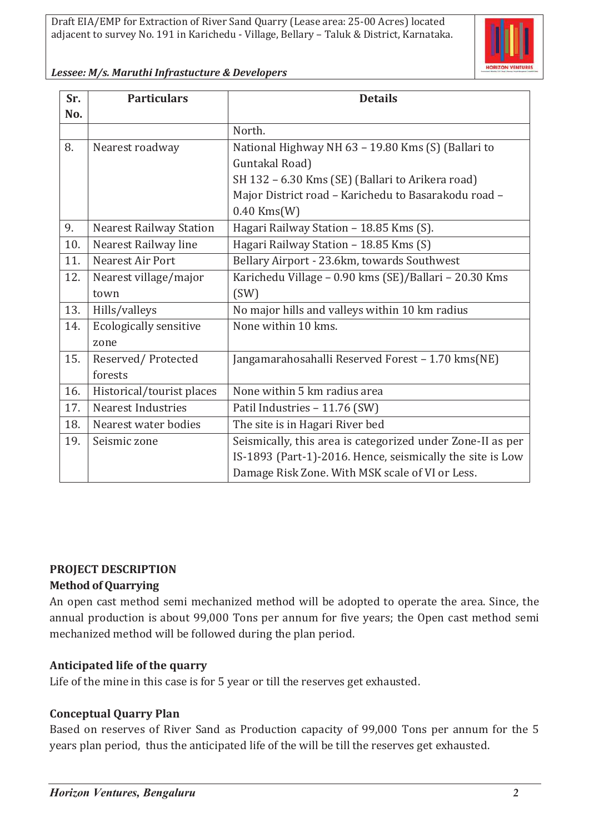

| Lessee: M/s. Maruthi Infrastucture & Developers |  |
|-------------------------------------------------|--|
|-------------------------------------------------|--|

| Sr. | <b>Particulars</b>             | <b>Details</b>                                             |  |
|-----|--------------------------------|------------------------------------------------------------|--|
| No. |                                |                                                            |  |
|     |                                | North.                                                     |  |
| 8.  | Nearest roadway                | National Highway NH 63 - 19.80 Kms (S) (Ballari to         |  |
|     |                                | Guntakal Road)                                             |  |
|     |                                | SH 132 - 6.30 Kms (SE) (Ballari to Arikera road)           |  |
|     |                                | Major District road - Karichedu to Basarakodu road -       |  |
|     |                                | $0.40$ Kms $(W)$                                           |  |
| 9.  | <b>Nearest Railway Station</b> | Hagari Railway Station - 18.85 Kms (S).                    |  |
| 10. | Nearest Railway line           | Hagari Railway Station - 18.85 Kms (S)                     |  |
| 11. | Nearest Air Port               | Bellary Airport - 23.6km, towards Southwest                |  |
| 12. | Nearest village/major          | Karichedu Village - 0.90 kms (SE)/Ballari - 20.30 Kms      |  |
|     | town                           | (SW)                                                       |  |
| 13. | Hills/valleys                  | No major hills and valleys within 10 km radius             |  |
| 14. | <b>Ecologically sensitive</b>  | None within 10 kms.                                        |  |
|     | zone                           |                                                            |  |
| 15. | Reserved/Protected             | Jangamarahosahalli Reserved Forest - 1.70 kms(NE)          |  |
|     | forests                        |                                                            |  |
| 16. | Historical/tourist places      | None within 5 km radius area                               |  |
| 17. | <b>Nearest Industries</b>      | Patil Industries - 11.76 (SW)                              |  |
| 18. | Nearest water bodies           | The site is in Hagari River bed                            |  |
| 19. | Seismic zone                   | Seismically, this area is categorized under Zone-II as per |  |
|     |                                | IS-1893 (Part-1)-2016. Hence, seismically the site is Low  |  |
|     |                                | Damage Risk Zone. With MSK scale of VI or Less.            |  |

#### **PROJECT DESCRIPTION**

#### **Method of Quarrying**

An open cast method semi mechanized method will be adopted to operate the area. Since, the annual production is about 99,000 Tons per annum for five years; the Open cast method semi mechanized method will be followed during the plan period.

#### **Anticipated life of the quarry**

Life of the mine in this case is for 5 year or till the reserves get exhausted.

#### **Conceptual Quarry Plan**

Based on reserves of River Sand as Production capacity of 99,000 Tons per annum for the 5 years plan period, thus the anticipated life of the will be till the reserves get exhausted.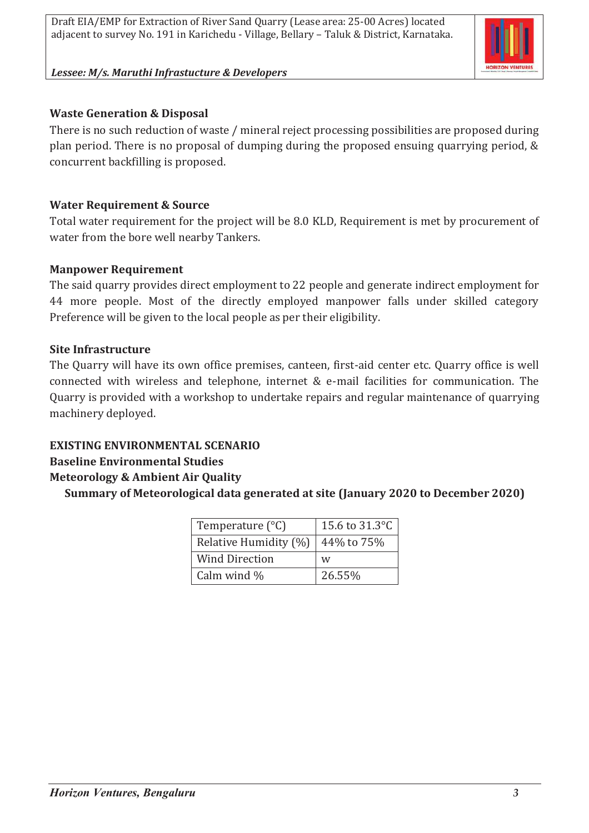

# **Waste Generation & Disposal**

There is no such reduction of waste / mineral reject processing possibilities are proposed during plan period. There is no proposal of dumping during the proposed ensuing quarrying period, & concurrent backfilling is proposed.

# **Water Requirement & Source**

Total water requirement for the project will be 8.0 KLD, Requirement is met by procurement of water from the bore well nearby Tankers.

# **Manpower Requirement**

The said quarry provides direct employment to 22 people and generate indirect employment for 44 more people. Most of the directly employed manpower falls under skilled category Preference will be given to the local people as per their eligibility.

# **Site Infrastructure**

The Quarry will have its own office premises, canteen, first-aid center etc. Quarry office is well connected with wireless and telephone, internet & e-mail facilities for communication. The Quarry is provided with a workshop to undertake repairs and regular maintenance of quarrying machinery deployed.

# **EXISTING ENVIRONMENTAL SCENARIO**

# **Baseline Environmental Studies**

# **Meteorology & Ambient Air Quality**

**Summary of Meteorological data generated at site (January 2020 to December 2020)**

| Temperature $(^{\circ}C)$ | 15.6 to 31.3 °C |
|---------------------------|-----------------|
| Relative Humidity (%)     | 44% to 75%      |
| <b>Wind Direction</b>     | W               |
| Calm wind $\%$            | 26.55%          |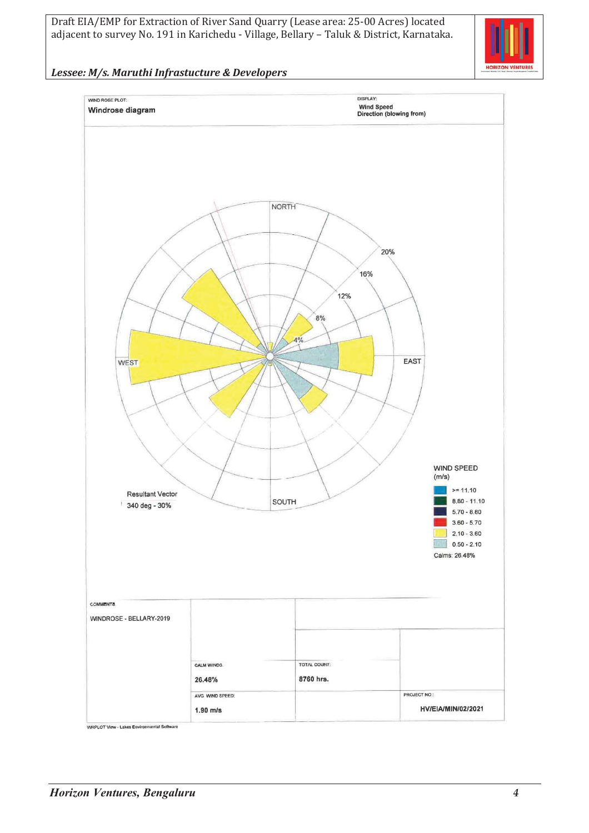Draft EIA/EMP for Extraction of River Sand Quarry (Lease area: 25-00 Acres) located adjacent to survey No. 191 in Karichedu - Village, Bellary – Taluk & District, Karnataka.



#### *Lessee: M/s. Maruthi Infrastucture & Developers*

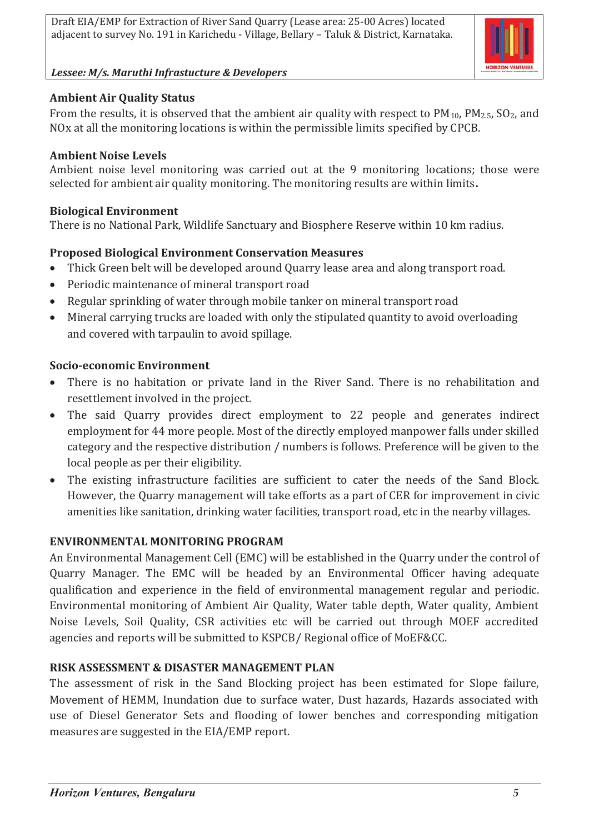

# **Ambient Air Quality Status**

From the results, it is observed that the ambient air quality with respect to  $PM_{10}$ ,  $PM_{2.5}$ ,  $SO_2$ , and NOx at all the monitoring locations is within the permissible limits specified by CPCB.

## **Ambient Noise Levels**

Ambient noise level monitoring was carried out at the 9 monitoring locations; those were selected for ambient air quality monitoring. The monitoring results are within limits**.**

## **Biological Environment**

There is no National Park, Wildlife Sanctuary and Biosphere Reserve within 10 km radius.

# **Proposed Biological Environment Conservation Measures**

- · Thick Green belt will be developed around Quarry lease area and along transport road.
- · Periodic maintenance of mineral transport road
- · Regular sprinkling of water through mobile tanker on mineral transport road
- · Mineral carrying trucks are loaded with only the stipulated quantity to avoid overloading and covered with tarpaulin to avoid spillage.

## **Socio-economic Environment**

- · There is no habitation or private land in the River Sand. There is no rehabilitation and resettlement involved in the project.
- The said Quarry provides direct employment to 22 people and generates indirect employment for 44 more people. Most of the directly employed manpower falls under skilled category and the respective distribution / numbers is follows. Preference will be given to the local people as per their eligibility.
- · The existing infrastructure facilities are sufficient to cater the needs of the Sand Block. However, the Quarry management will take efforts as a part of CER for improvement in civic amenities like sanitation, drinking water facilities, transport road, etc in the nearby villages.

# **ENVIRONMENTAL MONITORING PROGRAM**

An Environmental Management Cell (EMC) will be established in the Quarry under the control of Quarry Manager. The EMC will be headed by an Environmental Officer having adequate qualification and experience in the field of environmental management regular and periodic. Environmental monitoring of Ambient Air Quality, Water table depth, Water quality, Ambient Noise Levels, Soil Quality, CSR activities etc will be carried out through MOEF accredited agencies and reports will be submitted to KSPCB/ Regional office of MoEF&CC.

# **RISK ASSESSMENT & DISASTER MANAGEMENT PLAN**

The assessment of risk in the Sand Blocking project has been estimated for Slope failure, Movement of HEMM, Inundation due to surface water, Dust hazards, Hazards associated with use of Diesel Generator Sets and flooding of lower benches and corresponding mitigation measures are suggested in the EIA/EMP report.